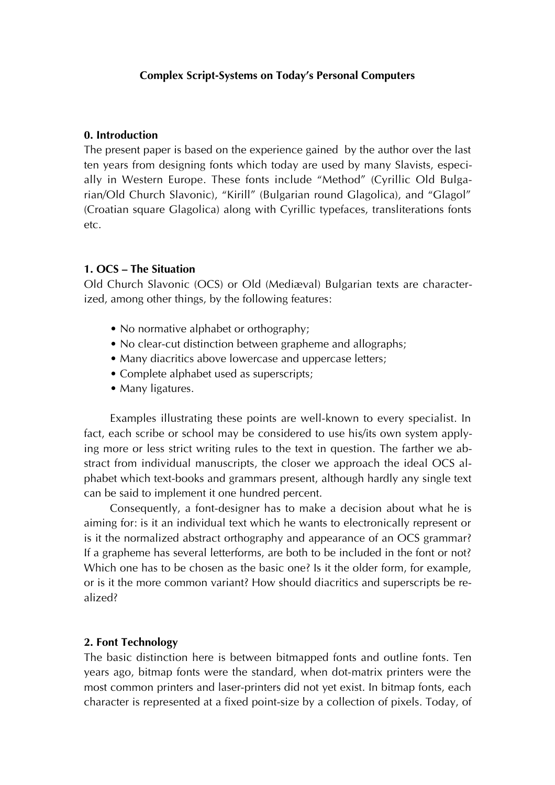# **Complex Script-Systems on Today's Personal Computers**

## **0. Introduction**

The present paper is based on the experience gained by the author over the last ten years from designing fonts which today are used by many Slavists, especially in Western Europe. These fonts include "Method" (Cyrillic Old Bulgarian/Old Church Slavonic), "Kirill" (Bulgarian round Glagolica), and "Glagol" (Croatian square Glagolica) along with Cyrillic typefaces, transliterations fonts etc.

# **1. OCS – The Situation**

Old Church Slavonic (OCS) or Old (Mediæval) Bulgarian texts are characterized, among other things, by the following features:

- No normative alphabet or orthography;
- No clear-cut distinction between grapheme and allographs;
- Many diacritics above lowercase and uppercase letters;
- Complete alphabet used as superscripts;
- Many ligatures.

Examples illustrating these points are well-known to every specialist. In fact, each scribe or school may be considered to use his/its own system applying more or less strict writing rules to the text in question. The farther we abstract from individual manuscripts, the closer we approach the ideal OCS alphabet which text-books and grammars present, although hardly any single text can be said to implement it one hundred percent.

Consequently, a font-designer has to make a decision about what he is aiming for: is it an individual text which he wants to electronically represent or is it the normalized abstract orthography and appearance of an OCS grammar? If a grapheme has several letterforms, are both to be included in the font or not? Which one has to be chosen as the basic one? Is it the older form, for example, or is it the more common variant? How should diacritics and superscripts be realized?

## **2. Font Technology**

The basic distinction here is between bitmapped fonts and outline fonts. Ten years ago, bitmap fonts were the standard, when dot-matrix printers were the most common printers and laser-printers did not yet exist. In bitmap fonts, each character is represented at a fixed point-size by a collection of pixels. Today, of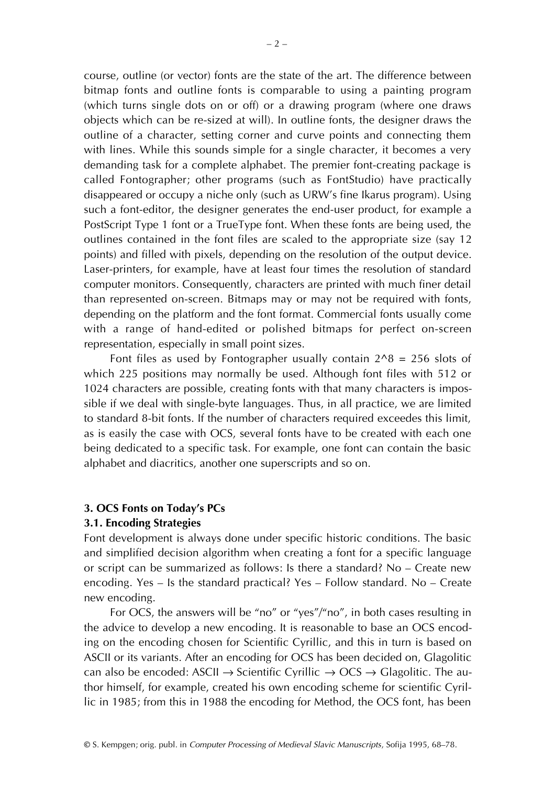course, outline (or vector) fonts are the state of the art. The difference between bitmap fonts and outline fonts is comparable to using a painting program (which turns single dots on or off) or a drawing program (where one draws objects which can be re-sized at will). In outline fonts, the designer draws the outline of a character, setting corner and curve points and connecting them with lines. While this sounds simple for a single character, it becomes a very demanding task for a complete alphabet. The premier font-creating package is called Fontographer; other programs (such as FontStudio) have practically disappeared or occupy a niche only (such as URW's fine Ikarus program). Using such a font-editor, the designer generates the end-user product, for example a PostScript Type 1 font or a TrueType font. When these fonts are being used, the outlines contained in the font files are scaled to the appropriate size (say 12 points) and filled with pixels, depending on the resolution of the output device. Laser-printers, for example, have at least four times the resolution of standard computer monitors. Consequently, characters are printed with much finer detail than represented on-screen. Bitmaps may or may not be required with fonts, depending on the platform and the font format. Commercial fonts usually come with a range of hand-edited or polished bitmaps for perfect on-screen representation, especially in small point sizes.

Font files as used by Fontographer usually contain  $2^8 = 256$  slots of which 225 positions may normally be used. Although font files with 512 or 1024 characters are possible, creating fonts with that many characters is impossible if we deal with single-byte languages. Thus, in all practice, we are limited to standard 8-bit fonts. If the number of characters required exceedes this limit, as is easily the case with OCS, several fonts have to be created with each one being dedicated to a specific task. For example, one font can contain the basic alphabet and diacritics, another one superscripts and so on.

## **3. OCS Fonts on Today's PCs**

## **3.1. Encoding Strategies**

Font development is always done under specific historic conditions. The basic and simplified decision algorithm when creating a font for a specific language or script can be summarized as follows: Is there a standard? No – Create new encoding. Yes – Is the standard practical? Yes – Follow standard. No – Create new encoding.

For OCS, the answers will be "no" or "yes"/"no", in both cases resulting in the advice to develop a new encoding. It is reasonable to base an OCS encoding on the encoding chosen for Scientific Cyrillic, and this in turn is based on ASCII or its variants. After an encoding for OCS has been decided on, Glagolitic can also be encoded: ASCII  $\rightarrow$  Scientific Cyrillic  $\rightarrow$  OCS  $\rightarrow$  Glagolitic. The author himself, for example, created his own encoding scheme for scientific Cyrillic in 1985; from this in 1988 the encoding for Method, the OCS font, has been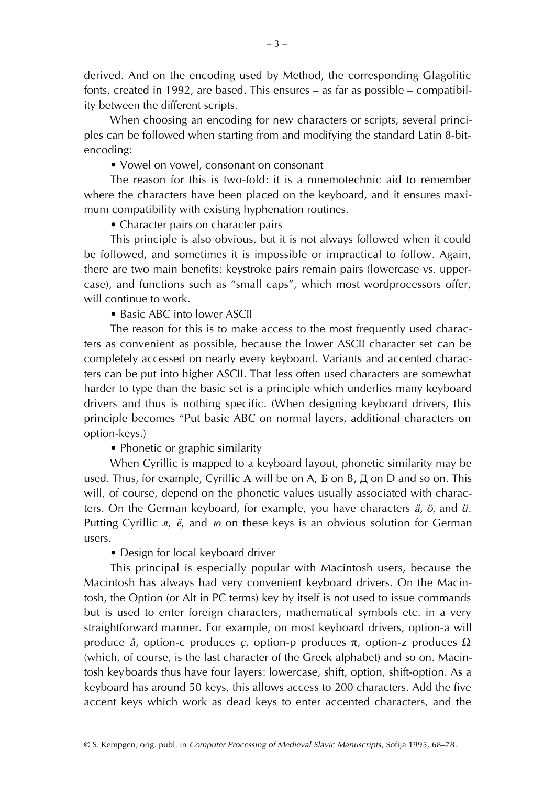derived. And on the encoding used by Method, the corresponding Glagolitic fonts, created in 1992, are based. This ensures – as far as possible – compatibility between the different scripts.

When choosing an encoding for new characters or scripts, several principles can be followed when starting from and modifying the standard Latin 8-bitencoding:

• Vowel on vowel, consonant on consonant

The reason for this is two-fold: it is a mnemotechnic aid to remember where the characters have been placed on the keyboard, and it ensures maximum compatibility with existing hyphenation routines.

• Character pairs on character pairs

This principle is also obvious, but it is not always followed when it could be followed, and sometimes it is impossible or impractical to follow. Again, there are two main benefits: keystroke pairs remain pairs (lowercase vs. uppercase), and functions such as "small caps", which most wordprocessors offer, will continue to work.

• Basic ABC into lower ASCII

The reason for this is to make access to the most frequently used characters as convenient as possible, because the lower ASCII character set can be completely accessed on nearly every keyboard. Variants and accented characters can be put into higher ASCII. That less often used characters are somewhat harder to type than the basic set is a principle which underlies many keyboard drivers and thus is nothing specific. (When designing keyboard drivers, this principle becomes "Put basic ABC on normal layers, additional characters on option-keys.)

• Phonetic or graphic similarity

When Cyrillic is mapped to a keyboard layout, phonetic similarity may be used. Thus, for example, Cyrillic A will be on A,  $E$  on B,  $E$  on D and so on. This will, of course, depend on the phonetic values usually associated with characters. On the German keyboard, for example, you have characters *ä, ö,* and *ü*. Putting Cyrillic *a*,  $\ddot{e}$ , and *i* on these keys is an obvious solution for German users.

• Design for local keyboard driver

This principal is especially popular with Macintosh users, because the Macintosh has always had very convenient keyboard drivers. On the Macintosh, the Option (or Alt in PC terms) key by itself is not used to issue commands but is used to enter foreign characters, mathematical symbols etc. in a very straightforward manner. For example, on most keyboard drivers, option-a will produce *å*, option-c produces *ç*, option-p produces π, option-z produces Ω (which, of course, is the last character of the Greek alphabet) and so on. Macintosh keyboards thus have four layers: lowercase, shift, option, shift-option. As a keyboard has around 50 keys, this allows access to 200 characters. Add the five accent keys which work as dead keys to enter accented characters, and the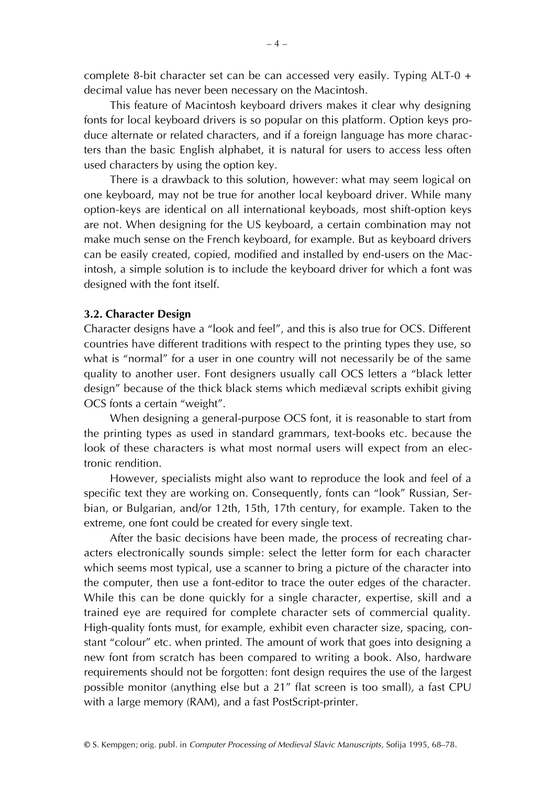complete 8-bit character set can be can accessed very easily. Typing ALT-0 + decimal value has never been necessary on the Macintosh.

This feature of Macintosh keyboard drivers makes it clear why designing fonts for local keyboard drivers is so popular on this platform. Option keys produce alternate or related characters, and if a foreign language has more characters than the basic English alphabet, it is natural for users to access less often used characters by using the option key.

There is a drawback to this solution, however: what may seem logical on one keyboard, may not be true for another local keyboard driver. While many option-keys are identical on all international keyboads, most shift-option keys are not. When designing for the US keyboard, a certain combination may not make much sense on the French keyboard, for example. But as keyboard drivers can be easily created, copied, modified and installed by end-users on the Macintosh, a simple solution is to include the keyboard driver for which a font was designed with the font itself.

## **3.2. Character Design**

Character designs have a "look and feel", and this is also true for OCS. Different countries have different traditions with respect to the printing types they use, so what is "normal" for a user in one country will not necessarily be of the same quality to another user. Font designers usually call OCS letters a "black letter design" because of the thick black stems which mediæval scripts exhibit giving OCS fonts a certain "weight".

When designing a general-purpose OCS font, it is reasonable to start from the printing types as used in standard grammars, text-books etc. because the look of these characters is what most normal users will expect from an electronic rendition.

However, specialists might also want to reproduce the look and feel of a specific text they are working on. Consequently, fonts can "look" Russian, Serbian, or Bulgarian, and/or 12th, 15th, 17th century, for example. Taken to the extreme, one font could be created for every single text.

After the basic decisions have been made, the process of recreating characters electronically sounds simple: select the letter form for each character which seems most typical, use a scanner to bring a picture of the character into the computer, then use a font-editor to trace the outer edges of the character. While this can be done quickly for a single character, expertise, skill and a trained eye are required for complete character sets of commercial quality. High-quality fonts must, for example, exhibit even character size, spacing, constant "colour" etc. when printed. The amount of work that goes into designing a new font from scratch has been compared to writing a book. Also, hardware requirements should not be forgotten: font design requires the use of the largest possible monitor (anything else but a 21" flat screen is too small), a fast CPU with a large memory (RAM), and a fast PostScript-printer.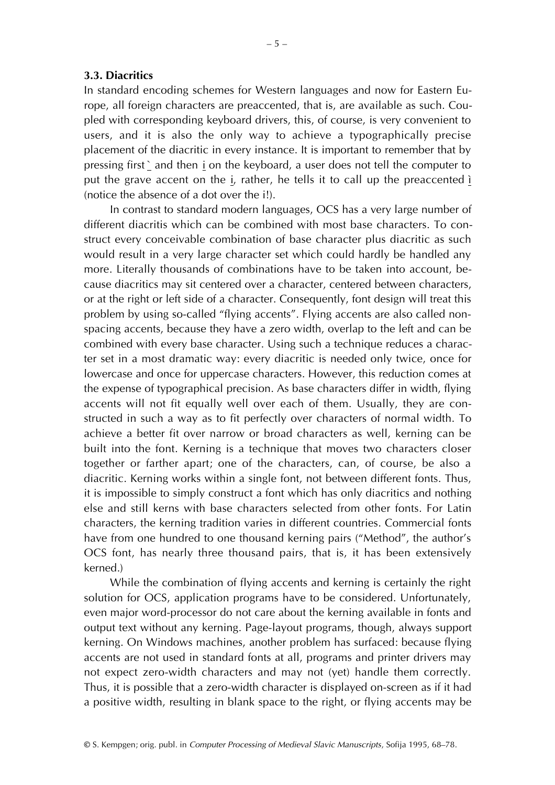## **3.3. Diacritics**

In standard encoding schemes for Western languages and now for Eastern Europe, all foreign characters are preaccented, that is, are available as such. Coupled with corresponding keyboard drivers, this, of course, is very convenient to users, and it is also the only way to achieve a typographically precise placement of the diacritic in every instance. It is important to remember that by pressing first  $\angle$  and then  $\angle$  on the keyboard, a user does not tell the computer to put the grave accent on the i, rather, he tells it to call up the preaccented i (notice the absence of a dot over the i!).

In contrast to standard modern languages, OCS has a very large number of different diacritis which can be combined with most base characters. To construct every conceivable combination of base character plus diacritic as such would result in a very large character set which could hardly be handled any more. Literally thousands of combinations have to be taken into account, because diacritics may sit centered over a character, centered between characters, or at the right or left side of a character. Consequently, font design will treat this problem by using so-called "flying accents". Flying accents are also called nonspacing accents, because they have a zero width, overlap to the left and can be combined with every base character. Using such a technique reduces a character set in a most dramatic way: every diacritic is needed only twice, once for lowercase and once for uppercase characters. However, this reduction comes at the expense of typographical precision. As base characters differ in width, flying accents will not fit equally well over each of them. Usually, they are constructed in such a way as to fit perfectly over characters of normal width. To achieve a better fit over narrow or broad characters as well, kerning can be built into the font. Kerning is a technique that moves two characters closer together or farther apart; one of the characters, can, of course, be also a diacritic. Kerning works within a single font, not between different fonts. Thus, it is impossible to simply construct a font which has only diacritics and nothing else and still kerns with base characters selected from other fonts. For Latin characters, the kerning tradition varies in different countries. Commercial fonts have from one hundred to one thousand kerning pairs ("Method", the author's OCS font, has nearly three thousand pairs, that is, it has been extensively kerned.)

While the combination of flying accents and kerning is certainly the right solution for OCS, application programs have to be considered. Unfortunately, even major word-processor do not care about the kerning available in fonts and output text without any kerning. Page-layout programs, though, always support kerning. On Windows machines, another problem has surfaced: because flying accents are not used in standard fonts at all, programs and printer drivers may not expect zero-width characters and may not (yet) handle them correctly. Thus, it is possible that a zero-width character is displayed on-screen as if it had a positive width, resulting in blank space to the right, or flying accents may be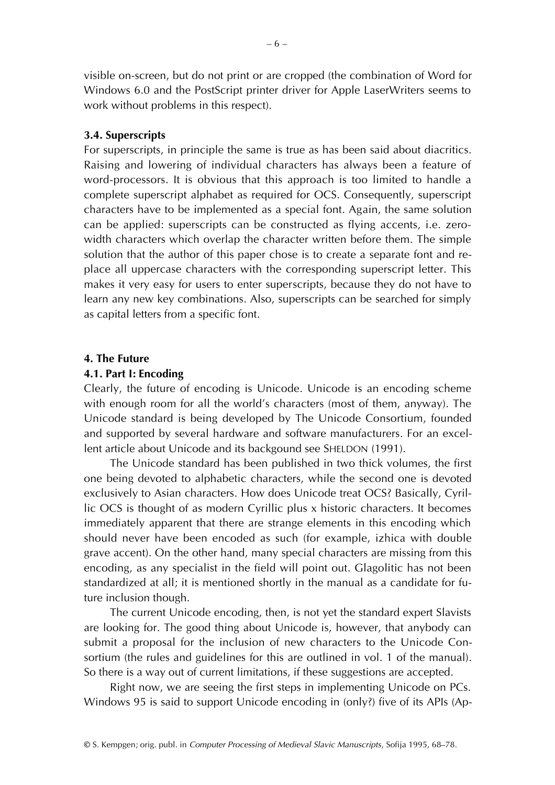visible on-screen, but do not print or are cropped (the combination of Word for Windows 6.0 and the PostScript printer driver for Apple LaserWriters seems to work without problems in this respect).

## **3.4. Superscripts**

For superscripts, in principle the same is true as has been said about diacritics. Raising and lowering of individual characters has always been a feature of word-processors. It is obvious that this approach is too limited to handle a complete superscript alphabet as required for OCS. Consequently, superscript characters have to be implemented as a special font. Again, the same solution can be applied: superscripts can be constructed as flying accents, i.e. zerowidth characters which overlap the character written before them. The simple solution that the author of this paper chose is to create a separate font and replace all uppercase characters with the corresponding superscript letter. This makes it very easy for users to enter superscripts, because they do not have to learn any new key combinations. Also, superscripts can be searched for simply as capital letters from a specific font.

## **4. The Future**

## **4.1. Part I: Encoding**

Clearly, the future of encoding is Unicode. Unicode is an encoding scheme with enough room for all the world's characters (most of them, anyway). The Unicode standard is being developed by The Unicode Consortium, founded and supported by several hardware and software manufacturers. For an excellent article about Unicode and its backgound see SHELDON (1991).

The Unicode standard has been published in two thick volumes, the first one being devoted to alphabetic characters, while the second one is devoted exclusively to Asian characters. How does Unicode treat OCS? Basically, Cyrillic OCS is thought of as modern Cyrillic plus x historic characters. It becomes immediately apparent that there are strange elements in this encoding which should never have been encoded as such (for example, izhica with double grave accent). On the other hand, many special characters are missing from this encoding, as any specialist in the field will point out. Glagolitic has not been standardized at all; it is mentioned shortly in the manual as a candidate for future inclusion though.

The current Unicode encoding, then, is not yet the standard expert Slavists are looking for. The good thing about Unicode is, however, that anybody can submit a proposal for the inclusion of new characters to the Unicode Consortium (the rules and guidelines for this are outlined in vol. 1 of the manual). So there is a way out of current limitations, if these suggestions are accepted.

Right now, we are seeing the first steps in implementing Unicode on PCs. Windows 95 is said to support Unicode encoding in (only?) five of its APIs (Ap-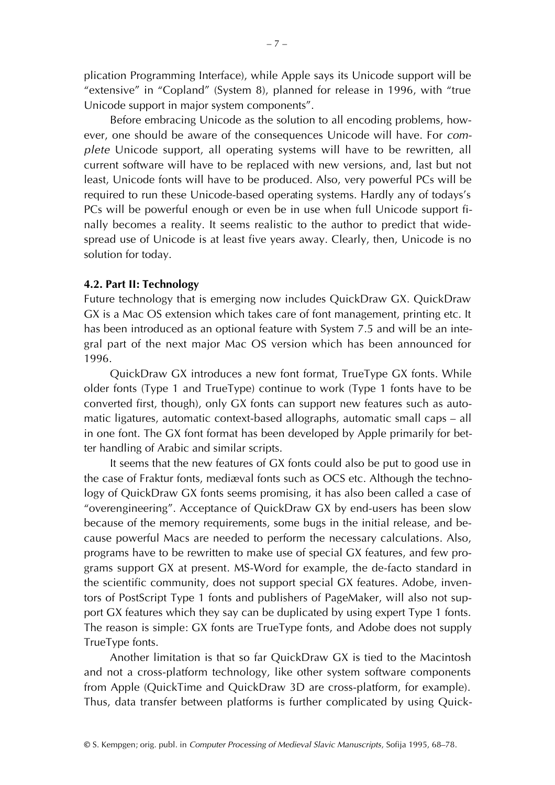plication Programming Interface), while Apple says its Unicode support will be "extensive" in "Copland" (System 8), planned for release in 1996, with "true Unicode support in major system components".

Before embracing Unicode as the solution to all encoding problems, however, one should be aware of the consequences Unicode will have. For *complete* Unicode support, all operating systems will have to be rewritten, all current software will have to be replaced with new versions, and, last but not least, Unicode fonts will have to be produced. Also, very powerful PCs will be required to run these Unicode-based operating systems. Hardly any of todays's PCs will be powerful enough or even be in use when full Unicode support finally becomes a reality. It seems realistic to the author to predict that widespread use of Unicode is at least five years away. Clearly, then, Unicode is no solution for today.

# **4.2. Part II: Technology**

Future technology that is emerging now includes QuickDraw GX. QuickDraw GX is a Mac OS extension which takes care of font management, printing etc. It has been introduced as an optional feature with System 7.5 and will be an integral part of the next major Mac OS version which has been announced for 1996.

QuickDraw GX introduces a new font format, TrueType GX fonts. While older fonts (Type 1 and TrueType) continue to work (Type 1 fonts have to be converted first, though), only GX fonts can support new features such as automatic ligatures, automatic context-based allographs, automatic small caps – all in one font. The GX font format has been developed by Apple primarily for better handling of Arabic and similar scripts.

It seems that the new features of GX fonts could also be put to good use in the case of Fraktur fonts, mediæval fonts such as OCS etc. Although the technology of QuickDraw GX fonts seems promising, it has also been called a case of "overengineering". Acceptance of QuickDraw GX by end-users has been slow because of the memory requirements, some bugs in the initial release, and because powerful Macs are needed to perform the necessary calculations. Also, programs have to be rewritten to make use of special GX features, and few programs support GX at present. MS-Word for example, the de-facto standard in the scientific community, does not support special GX features. Adobe, inventors of PostScript Type 1 fonts and publishers of PageMaker, will also not support GX features which they say can be duplicated by using expert Type 1 fonts. The reason is simple: GX fonts are TrueType fonts, and Adobe does not supply TrueType fonts.

Another limitation is that so far QuickDraw GX is tied to the Macintosh and not a cross-platform technology, like other system software components from Apple (QuickTime and QuickDraw 3D are cross-platform, for example). Thus, data transfer between platforms is further complicated by using Quick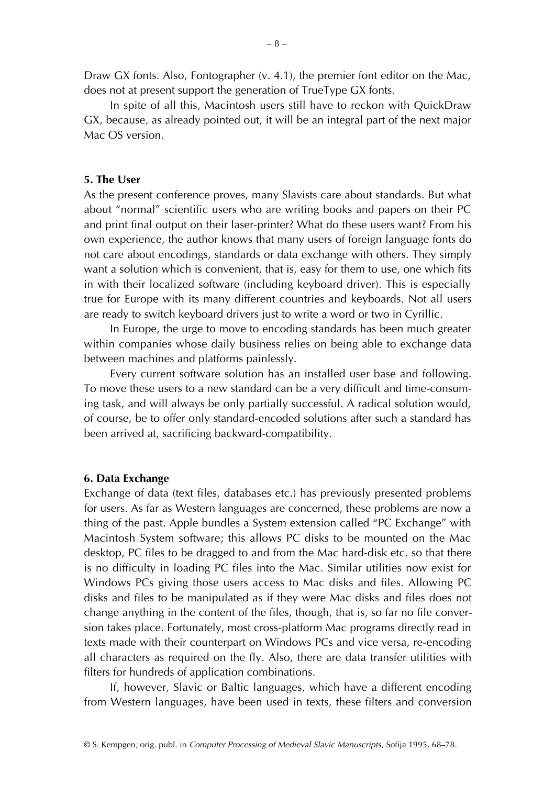Draw GX fonts. Also, Fontographer (v. 4.1), the premier font editor on the Mac, does not at present support the generation of TrueType GX fonts.

In spite of all this, Macintosh users still have to reckon with QuickDraw GX, because, as already pointed out, it will be an integral part of the next major Mac OS version.

## **5. The User**

As the present conference proves, many Slavists care about standards. But what about "normal" scientific users who are writing books and papers on their PC and print final output on their laser-printer? What do these users want? From his own experience, the author knows that many users of foreign language fonts do not care about encodings, standards or data exchange with others. They simply want a solution which is convenient, that is, easy for them to use, one which fits in with their localized software (including keyboard driver). This is especially true for Europe with its many different countries and keyboards. Not all users are ready to switch keyboard drivers just to write a word or two in Cyrillic.

In Europe, the urge to move to encoding standards has been much greater within companies whose daily business relies on being able to exchange data between machines and platforms painlessly.

Every current software solution has an installed user base and following. To move these users to a new standard can be a very difficult and time-consuming task, and will always be only partially successful. A radical solution would, of course, be to offer only standard-encoded solutions after such a standard has been arrived at, sacrificing backward-compatibility.

#### **6. Data Exchange**

Exchange of data (text files, databases etc.) has previously presented problems for users. As far as Western languages are concerned, these problems are now a thing of the past. Apple bundles a System extension called "PC Exchange" with Macintosh System software; this allows PC disks to be mounted on the Mac desktop, PC files to be dragged to and from the Mac hard-disk etc. so that there is no difficulty in loading PC files into the Mac. Similar utilities now exist for Windows PCs giving those users access to Mac disks and files. Allowing PC disks and files to be manipulated as if they were Mac disks and files does not change anything in the content of the files, though, that is, so far no file conversion takes place. Fortunately, most cross-platform Mac programs directly read in texts made with their counterpart on Windows PCs and vice versa, re-encoding all characters as required on the fly. Also, there are data transfer utilities with filters for hundreds of application combinations.

If, however, Slavic or Baltic languages, which have a different encoding from Western languages, have been used in texts, these filters and conversion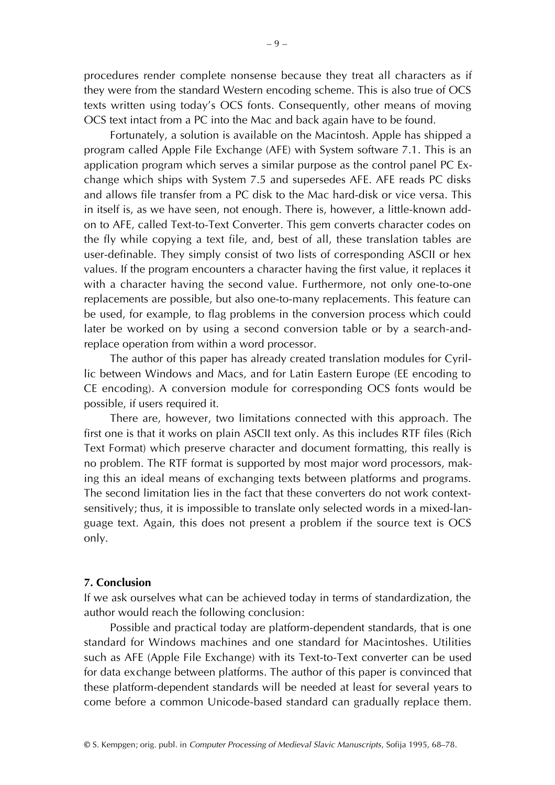procedures render complete nonsense because they treat all characters as if they were from the standard Western encoding scheme. This is also true of OCS texts written using today's OCS fonts. Consequently, other means of moving OCS text intact from a PC into the Mac and back again have to be found.

Fortunately, a solution is available on the Macintosh. Apple has shipped a program called Apple File Exchange (AFE) with System software 7.1. This is an application program which serves a similar purpose as the control panel PC Exchange which ships with System 7.5 and supersedes AFE. AFE reads PC disks and allows file transfer from a PC disk to the Mac hard-disk or vice versa. This in itself is, as we have seen, not enough. There is, however, a little-known addon to AFE, called Text-to-Text Converter. This gem converts character codes on the fly while copying a text file, and, best of all, these translation tables are user-definable. They simply consist of two lists of corresponding ASCII or hex values. If the program encounters a character having the first value, it replaces it with a character having the second value. Furthermore, not only one-to-one replacements are possible, but also one-to-many replacements. This feature can be used, for example, to flag problems in the conversion process which could later be worked on by using a second conversion table or by a search-andreplace operation from within a word processor.

The author of this paper has already created translation modules for Cyrillic between Windows and Macs, and for Latin Eastern Europe (EE encoding to CE encoding). A conversion module for corresponding OCS fonts would be possible, if users required it.

There are, however, two limitations connected with this approach. The first one is that it works on plain ASCII text only. As this includes RTF files (Rich Text Format) which preserve character and document formatting, this really is no problem. The RTF format is supported by most major word processors, making this an ideal means of exchanging texts between platforms and programs. The second limitation lies in the fact that these converters do not work contextsensitively; thus, it is impossible to translate only selected words in a mixed-language text. Again, this does not present a problem if the source text is OCS only.

#### **7. Conclusion**

If we ask ourselves what can be achieved today in terms of standardization, the author would reach the following conclusion:

Possible and practical today are platform-dependent standards, that is one standard for Windows machines and one standard for Macintoshes. Utilities such as AFE (Apple File Exchange) with its Text-to-Text converter can be used for data exchange between platforms. The author of this paper is convinced that these platform-dependent standards will be needed at least for several years to come before a common Unicode-based standard can gradually replace them.